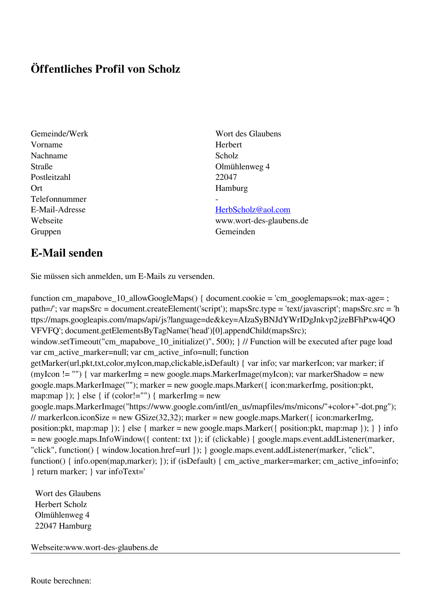## **Öffentliches Profil von Scholz**

- Vorname Herbert Nachname Scholz Straße Olmühlenweg 4 Postleitzahl 22047 Ort Hamburg Telefonnummer - Gruppen Gemeinden Gemeinden Gemeinden Gemeinden Gemeinden Gemeinden Gemeinden Gemeinden Gemeinden Gemeinden G
- Gemeinde/Werk Wort des Glaubens

## E-Mail-Adresse [HerbScholz@aol.com](mailto:HerbScholz@aol.com)

Webseite www.wort-des-glaubens.de

## **E-Mail senden**

Sie müssen sich anmelden, um E-Mails zu versenden.

function cm\_mapabove\_10\_allowGoogleMaps() { document.cookie = 'cm\_googlemaps=ok; max-age= ; path=/'; var mapsSrc = document.createElement('script'); mapsSrc.type = 'text/javascript'; mapsSrc.src = 'h ttps://maps.googleapis.com/maps/api/js?language=de&key=AIzaSyBNJdYWrIDgJnkvp2jzeBFhPxw4QO VFVFQ'; document.getElementsByTagName('head')[0].appendChild(mapsSrc); window.setTimeout("cm\_mapabove\_10\_initialize()", 500); } // Function will be executed after page load var cm\_active\_marker=null; var cm\_active\_info=null; function getMarker(url,pkt,txt,color,myIcon,map,clickable,isDefault) { var info; var markerIcon; var marker; if (myIcon != "") { var markerImg = new google.maps.MarkerImage(myIcon); var markerShadow = new google.maps.MarkerImage(""); marker = new google.maps.Marker({ icon:markerImg, position:pkt, map:map  $\}$ ;  $\}$  else  $\{$  if (color!="")  $\{$  markerImg = new google.maps.MarkerImage("https://www.google.com/intl/en\_us/mapfiles/ms/micons/"+color+"-dot.png"); // markerIcon.iconSize = new GSize(32,32); marker = new google.maps.Marker({ $i$ con:markerImg, position:pkt, map:map }); } else { marker = new google.maps.Marker({ position:pkt, map:map }); } } info = new google.maps.InfoWindow({ content: txt }); if (clickable) { google.maps.event.addListener(marker, "click", function() { window.location.href=url }); } google.maps.event.addListener(marker, "click", function() { info.open(map,marker); }); if (isDefault) { cm\_active\_marker=marker; cm\_active\_info=info; } return marker; } var infoText='

 Wort des Glaubens Herbert Scholz Olmühlenweg 4 22047 Hamburg

Webseite:www.wort-des-glaubens.de